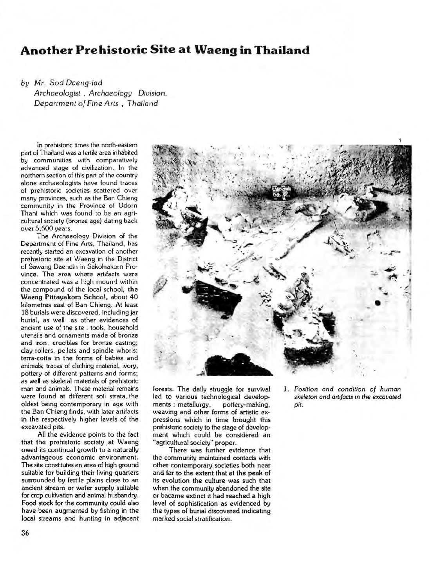## **Another Prehistoric Site at Waeng in Thailand**

by *Mr. Sod Daeng-iad Archaeologist* , *Archaeology Division, Department of Fine Arts* , *Thailand* 

in prehistoric times the north-eastern part of Thailand was a fertile area inhabited by communities with comparatively advanced stage of civilization. In the northern section of this part of the country alone archaeologists have found traces of prehistoric societies scattered over many provinces, such as the Ban Chieng community in the Province of Udorn Thani which was found to be an agricultural society (bronze age) dating back over 5,600 years.

The Archaeology Division of the Department of Fine Arts, Thailand, has recently started an excavation cf another prehistoric site at Waeng in the District of Sawang Daendin in Sakolnakorn Province. The area where artifacts were concentrated was a high mound within the compound of the local school, the Waeng Pittayakom School, about 40 kilometres easi of Ban Chieng. At least 18 burials were discovered, including jar burial, as well as other evidences of ancient use of the site : tools, household utensils and ornaments made of bronze and iron; crucibles for bronze casting; clay rollers, pellets and spindle whorls; terra-cotta in the forms of babies and animals; traces of clothing material, ivory, pottery of different patterns and forms; as well as skeletal materials of prehistoric man and animals. These material remains were found at different soil strata, the oldest being contemporary in age with the Ban Chieng finds, with later artifacts in the respectively higher levels of the excavated pits.

All the evidence points to the fact that the prehistoric society. at Waeng owed its continual growth to a naturally advantageous economic environment. The site constitutes an area of high ground suitable for building their living quarters surrounded by fertile plains close to an ancient stream or water supply suitable for crop cultivation and animal husbandry. Food stock for the community could also have been augmented by fishing in the local streams and hunting in adjacent



forests. The daily struggle for survival led to various technological developments : metallurgy, pottery-making, weaving and other forms of artistic expressions which in time brought this prehistoric society to the stage of development which could be considered an "agricultural society" proper.

There was further evidence that the community maintained contacts with other contemporary societies both near and far to the extent that at the peak of its evolution the culture was such that when the community abandoned the site or bacame extinct it had reached a high level of sophistication as evidenced by the types of burial discovered indicating marked social stratification.

*1. Position and condition of human skeleton and artifacts in the excavated pit.*